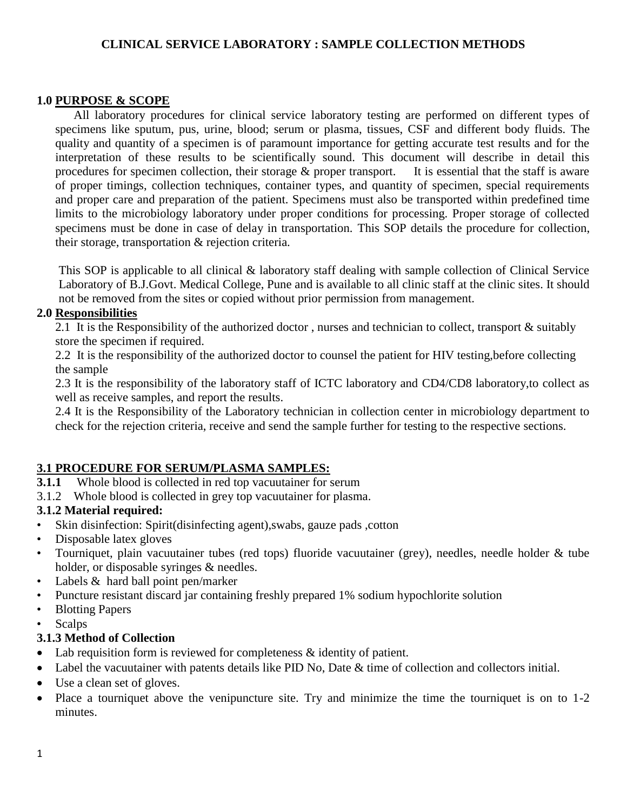## **CLINICAL SERVICE LABORATORY : SAMPLE COLLECTION METHODS**

## **1.0 PURPOSE & SCOPE**

All laboratory procedures for clinical service laboratory testing are performed on different types of specimens like sputum, pus, urine, blood; serum or plasma, tissues, CSF and different body fluids. The quality and quantity of a specimen is of paramount importance for getting accurate test results and for the interpretation of these results to be scientifically sound. This document will describe in detail this procedures for specimen collection, their storage & proper transport. It is essential that the staff is aware of proper timings, collection techniques, container types, and quantity of specimen, special requirements and proper care and preparation of the patient. Specimens must also be transported within predefined time limits to the microbiology laboratory under proper conditions for processing. Proper storage of collected specimens must be done in case of delay in transportation. This SOP details the procedure for collection, their storage, transportation & rejection criteria.

This SOP is applicable to all clinical & laboratory staff dealing with sample collection of Clinical Service Laboratory of B.J.Govt. Medical College, Pune and is available to all clinic staff at the clinic sites. It should not be removed from the sites or copied without prior permission from management.

#### **2.0 Responsibilities**

2.1 It is the Responsibility of the authorized doctor , nurses and technician to collect, transport & suitably store the specimen if required.

2.2 It is the responsibility of the authorized doctor to counsel the patient for HIV testing,before collecting the sample

2.3 It is the responsibility of the laboratory staff of ICTC laboratory and CD4/CD8 laboratory,to collect as well as receive samples, and report the results.

2.4 It is the Responsibility of the Laboratory technician in collection center in microbiology department to check for the rejection criteria, receive and send the sample further for testing to the respective sections.

## **3.1 PROCEDURE FOR SERUM/PLASMA SAMPLES:**

- **3.1.1** Whole blood is collected in red top vacuutainer for serum
- 3.1.2 Whole blood is collected in grey top vacuutainer for plasma.

## **3.1.2 Material required:**

- Skin disinfection: Spirit(disinfecting agent),swabs, gauze pads ,cotton
- Disposable latex gloves
- Tourniquet, plain vacuutainer tubes (red tops) fluoride vacuutainer (grey), needles, needle holder & tube holder, or disposable syringes & needles.
- Labels  $&$  hard ball point pen/marker
- Puncture resistant discard jar containing freshly prepared 1% sodium hypochlorite solution
- Blotting Papers
- **Scalps**

#### **3.1.3 Method of Collection**

- Lab requisition form is reviewed for completeness  $\&$  identity of patient.
- Label the vacuutainer with patents details like PID No, Date & time of collection and collectors initial.
- Use a clean set of gloves.
- Place a tourniquet above the venipuncture site. Try and minimize the time the tourniquet is on to 1-2 minutes.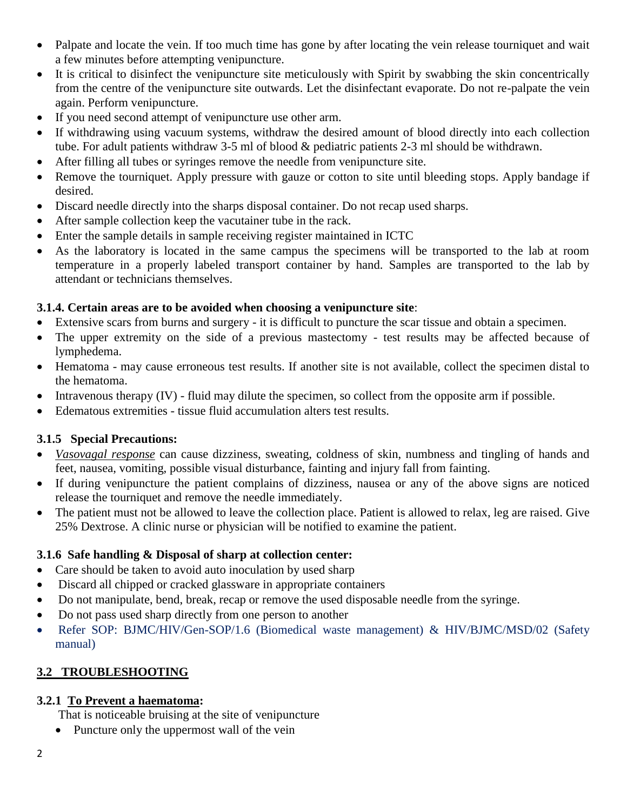- Palpate and locate the vein. If too much time has gone by after locating the vein release tourniquet and wait a few minutes before attempting venipuncture.
- It is critical to disinfect the venipuncture site meticulously with Spirit by swabbing the skin concentrically from the centre of the venipuncture site outwards. Let the disinfectant evaporate. Do not re-palpate the vein again. Perform venipuncture.
- If you need second attempt of venipuncture use other arm.
- If withdrawing using vacuum systems, withdraw the desired amount of blood directly into each collection tube. For adult patients withdraw 3-5 ml of blood & pediatric patients 2-3 ml should be withdrawn.
- After filling all tubes or syringes remove the needle from venipuncture site.
- Remove the tourniquet. Apply pressure with gauze or cotton to site until bleeding stops. Apply bandage if desired.
- Discard needle directly into the sharps disposal container. Do not recap used sharps.
- After sample collection keep the vacutainer tube in the rack.
- Enter the sample details in sample receiving register maintained in ICTC
- As the laboratory is located in the same campus the specimens will be transported to the lab at room temperature in a properly labeled transport container by hand. Samples are transported to the lab by attendant or technicians themselves.

## **3.1.4. Certain areas are to be avoided when choosing a venipuncture site**:

- Extensive scars from burns and surgery it is difficult to puncture the scar tissue and obtain a specimen.
- The upper extremity on the side of a previous mastectomy test results may be affected because of lymphedema.
- Hematoma may cause erroneous test results. If another site is not available, collect the specimen distal to the hematoma.
- Intravenous therapy (IV) fluid may dilute the specimen, so collect from the opposite arm if possible.
- Edematous extremities tissue fluid accumulation alters test results.

# **3.1.5 Special Precautions:**

- *Vasovagal response* can cause dizziness, sweating, coldness of skin, numbness and tingling of hands and feet, nausea, vomiting, possible visual disturbance, fainting and injury fall from fainting.
- If during venipuncture the patient complains of dizziness, nausea or any of the above signs are noticed release the tourniquet and remove the needle immediately.
- The patient must not be allowed to leave the collection place. Patient is allowed to relax, leg are raised. Give 25% Dextrose. A clinic nurse or physician will be notified to examine the patient.

# **3.1.6 Safe handling & Disposal of sharp at collection center:**

- Care should be taken to avoid auto inoculation by used sharp
- Discard all chipped or cracked glassware in appropriate containers
- Do not manipulate, bend, break, recap or remove the used disposable needle from the syringe.
- Do not pass used sharp directly from one person to another
- Refer SOP: BJMC/HIV/Gen-SOP/1.6 (Biomedical waste management) & HIV/BJMC/MSD/02 (Safety manual)

# **3.2 TROUBLESHOOTING**

# **3.2.1 To Prevent a haematoma:**

That is noticeable bruising at the site of venipuncture

• Puncture only the uppermost wall of the vein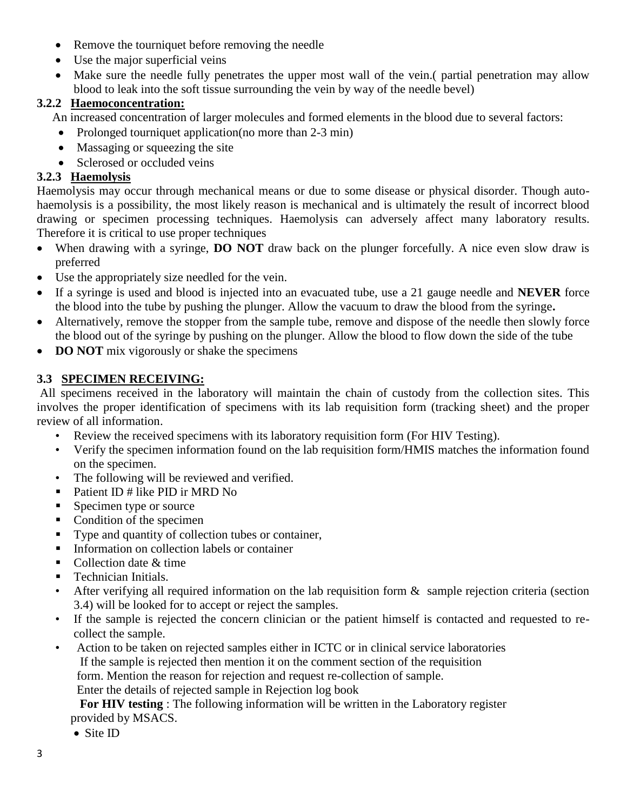- Remove the tourniquet before removing the needle
- Use the major superficial veins
- Make sure the needle fully penetrates the upper most wall of the vein. (partial penetration may allow blood to leak into the soft tissue surrounding the vein by way of the needle bevel)

# **3.2.2 Haemoconcentration:**

An increased concentration of larger molecules and formed elements in the blood due to several factors:

- Prolonged tourniquet application(no more than 2-3 min)
- Massaging or squeezing the site
- Sclerosed or occluded veins

# **3.2.3 Haemolysis**

Haemolysis may occur through mechanical means or due to some disease or physical disorder. Though autohaemolysis is a possibility, the most likely reason is mechanical and is ultimately the result of incorrect blood drawing or specimen processing techniques. Haemolysis can adversely affect many laboratory results. Therefore it is critical to use proper techniques

- When drawing with a syringe, **DO NOT** draw back on the plunger forcefully. A nice even slow draw is preferred
- Use the appropriately size needled for the vein.
- If a syringe is used and blood is injected into an evacuated tube, use a 21 gauge needle and **NEVER** force the blood into the tube by pushing the plunger. Allow the vacuum to draw the blood from the syringe**.**
- Alternatively, remove the stopper from the sample tube, remove and dispose of the needle then slowly force the blood out of the syringe by pushing on the plunger. Allow the blood to flow down the side of the tube
- **DO NOT** mix vigorously or shake the specimens

# **3.3 SPECIMEN RECEIVING:**

All specimens received in the laboratory will maintain the chain of custody from the collection sites. This involves the proper identification of specimens with its lab requisition form (tracking sheet) and the proper review of all information.

- Review the received specimens with its laboratory requisition form (For HIV Testing).
- Verify the specimen information found on the lab requisition form/HMIS matches the information found on the specimen.
- The following will be reviewed and verified.
- Patient ID # like PID ir MRD No
- Specimen type or source
- Condition of the specimen
- Type and quantity of collection tubes or container,
- Information on collection labels or container
- Collection date  $&$  time
- Technician Initials.
- After verifying all required information on the lab requisition form  $\&$  sample rejection criteria (section 3.4) will be looked for to accept or reject the samples.
- If the sample is rejected the concern clinician or the patient himself is contacted and requested to recollect the sample.
- Action to be taken on rejected samples either in ICTC or in clinical service laboratories If the sample is rejected then mention it on the comment section of the requisition form. Mention the reason for rejection and request re-collection of sample.

Enter the details of rejected sample in Rejection log book

 **For HIV testing** : The following information will be written in the Laboratory register provided by MSACS.

• Site ID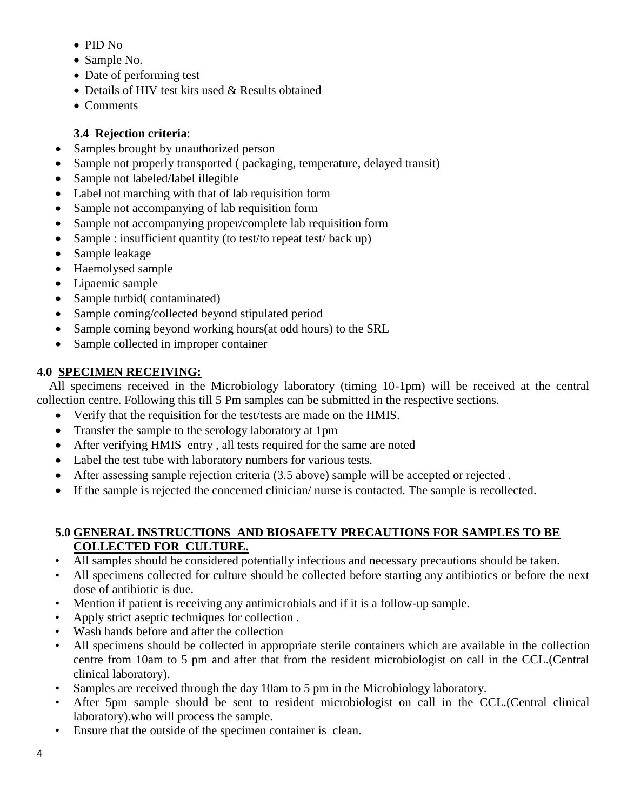- PID No
- Sample No.
- Date of performing test
- Details of HIV test kits used & Results obtained
- Comments

# **3.4 Rejection criteria**:

- Samples brought by unauthorized person
- Sample not properly transported ( packaging, temperature, delayed transit)
- Sample not labeled/label illegible
- Label not marching with that of lab requisition form
- Sample not accompanying of lab requisition form
- Sample not accompanying proper/complete lab requisition form
- Sample : insufficient quantity (to test/to repeat test/ back up)
- Sample leakage
- Haemolysed sample
- Lipaemic sample
- Sample turbid( contaminated)
- Sample coming/collected beyond stipulated period
- Sample coming beyond working hours(at odd hours) to the SRL
- Sample collected in improper container

# **4.0 SPECIMEN RECEIVING:**

 All specimens received in the Microbiology laboratory (timing 10-1pm) will be received at the central collection centre. Following this till 5 Pm samples can be submitted in the respective sections.

- Verify that the requisition for the test/tests are made on the HMIS.
- Transfer the sample to the serology laboratory at 1pm
- After verifying HMIS entry, all tests required for the same are noted
- Label the test tube with laboratory numbers for various tests.
- After assessing sample rejection criteria (3.5 above) sample will be accepted or rejected.
- If the sample is rejected the concerned clinician/ nurse is contacted. The sample is recollected.

# **5.0 GENERAL INSTRUCTIONS AND BIOSAFETY PRECAUTIONS FOR SAMPLES TO BE COLLECTED FOR CULTURE.**

- All samples should be considered potentially infectious and necessary precautions should be taken.
- All specimens collected for culture should be collected before starting any antibiotics or before the next dose of antibiotic is due.
- Mention if patient is receiving any antimicrobials and if it is a follow-up sample.
- Apply strict aseptic techniques for collection .
- Wash hands before and after the collection
- All specimens should be collected in appropriate sterile containers which are available in the collection centre from 10am to 5 pm and after that from the resident microbiologist on call in the CCL.(Central clinical laboratory).
- Samples are received through the day 10am to 5 pm in the Microbiology laboratory.
- After 5pm sample should be sent to resident microbiologist on call in the CCL.(Central clinical laboratory).who will process the sample.
- Ensure that the outside of the specimen container is clean.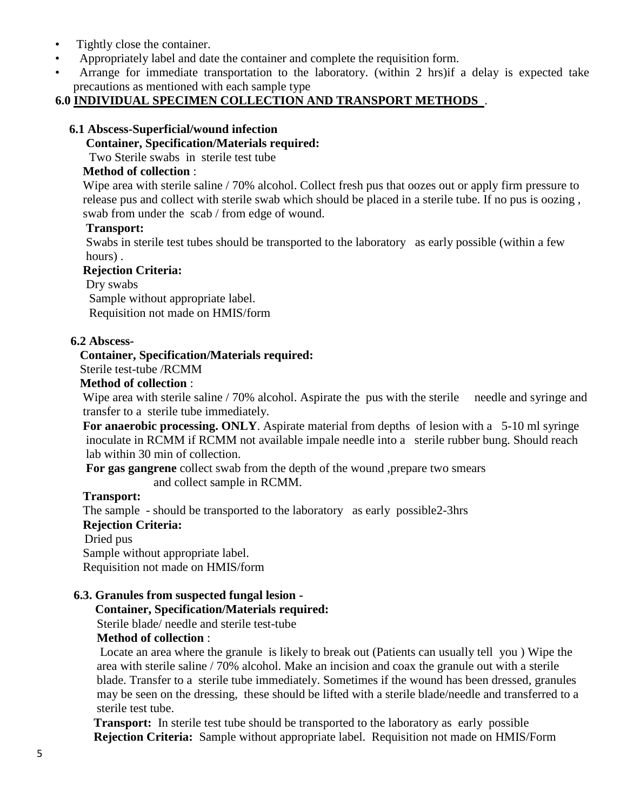- Tightly close the container.
- Appropriately label and date the container and complete the requisition form.
- Arrange for immediate transportation to the laboratory. (within 2 hrs)if a delay is expected take precautions as mentioned with each sample type

## **6.0 INDIVIDUAL SPECIMEN COLLECTION AND TRANSPORT METHODS** .

#### **6.1 Abscess-Superficial/wound infection**

#### **Container, Specification/Materials required:**

Two Sterile swabs in sterile test tube

#### **Method of collection** :

Wipe area with sterile saline / 70% alcohol. Collect fresh pus that oozes out or apply firm pressure to release pus and collect with sterile swab which should be placed in a sterile tube. If no pus is oozing , swab from under the scab / from edge of wound.

#### **Transport:**

 Swabs in sterile test tubes should be transported to the laboratory as early possible (within a few hours) .

#### **Rejection Criteria:**

Dry swabs

 Sample without appropriate label. Requisition not made on HMIS/form

#### **6.2 Abscess-**

#### **Container, Specification/Materials required:**

Sterile test-tube /RCMM

#### **Method of collection** :

Wipe area with sterile saline / 70% alcohol. Aspirate the pus with the sterile needle and syringe and transfer to a sterile tube immediately.

 **For anaerobic processing. ONLY**. Aspirate material from depths of lesion with a 5-10 ml syringe inoculate in RCMM if RCMM not available impale needle into a sterile rubber bung. Should reach lab within 30 min of collection.

**For gas gangrene** collect swab from the depth of the wound ,prepare two smears

and collect sample in RCMM.

#### **Transport:**

The sample - should be transported to the laboratory as early possible2-3hrs

## **Rejection Criteria:**

Dried pus

Sample without appropriate label.

Requisition not made on HMIS/form

## **6.3. Granules from suspected fungal lesion -**

#### **Container, Specification/Materials required:**

Sterile blade/ needle and sterile test-tube

## **Method of collection** :

 Locate an area where the granule is likely to break out (Patients can usually tell you ) Wipe the area with sterile saline / 70% alcohol. Make an incision and coax the granule out with a sterile blade. Transfer to a sterile tube immediately. Sometimes if the wound has been dressed, granules may be seen on the dressing, these should be lifted with a sterile blade/needle and transferred to a sterile test tube.

 **Transport:** In sterile test tube should be transported to the laboratory as early possible  **Rejection Criteria:** Sample without appropriate label. Requisition not made on HMIS/Form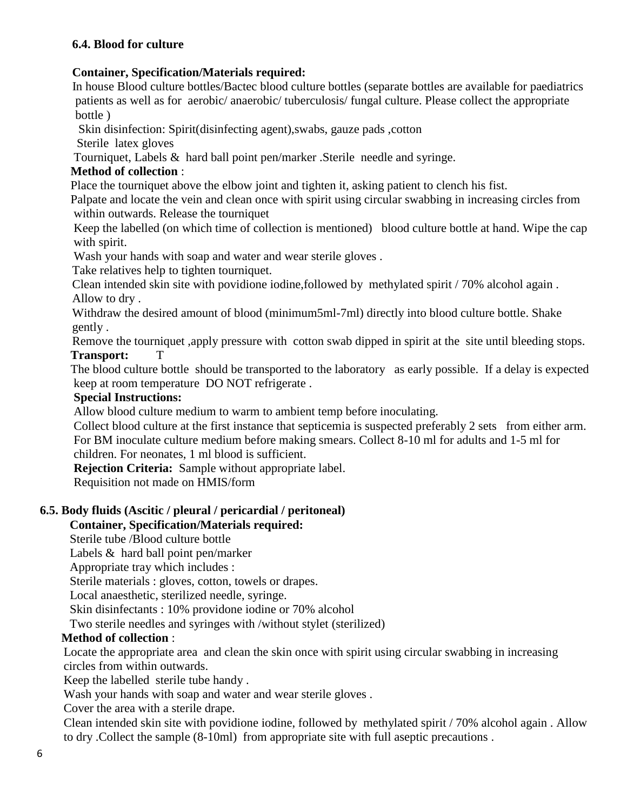## **6.4. Blood for culture**

## **Container, Specification/Materials required:**

In house Blood culture bottles/Bactec blood culture bottles (separate bottles are available for paediatrics patients as well as for aerobic/ anaerobic/ tuberculosis/ fungal culture. Please collect the appropriate bottle )

Skin disinfection: Spirit(disinfecting agent),swabs, gauze pads ,cotton

Sterile latex gloves

Tourniquet, Labels & hard ball point pen/marker .Sterile needle and syringe.

## **Method of collection** :

Place the tourniquet above the elbow joint and tighten it, asking patient to clench his fist.

 Palpate and locate the vein and clean once with spirit using circular swabbing in increasing circles from within outwards. Release the tourniquet

 Keep the labelled (on which time of collection is mentioned) blood culture bottle at hand. Wipe the cap with spirit.

Wash your hands with soap and water and wear sterile gloves.

Take relatives help to tighten tourniquet.

 Clean intended skin site with povidione iodine,followed by methylated spirit / 70% alcohol again . Allow to dry .

 Withdraw the desired amount of blood (minimum5ml-7ml) directly into blood culture bottle. Shake gently .

 Remove the tourniquet ,apply pressure with cotton swab dipped in spirit at the site until bleeding stops. **Transport:** T

 The blood culture bottle should be transported to the laboratory as early possible. If a delay is expected keep at room temperature DO NOT refrigerate .

## **Special Instructions:**

Allow blood culture medium to warm to ambient temp before inoculating.

Collect blood culture at the first instance that septicemia is suspected preferably 2 sets from either arm. For BM inoculate culture medium before making smears. Collect 8-10 ml for adults and 1-5 ml for children. For neonates, 1 ml blood is sufficient.

**Rejection Criteria:** Sample without appropriate label. Requisition not made on HMIS/form

# **6.5. Body fluids (Ascitic / pleural / pericardial / peritoneal)**

# **Container, Specification/Materials required:**

Sterile tube /Blood culture bottle

Labels & hard ball point pen/marker

Appropriate tray which includes :

Sterile materials : gloves, cotton, towels or drapes.

Local anaesthetic, sterilized needle, syringe.

Skin disinfectants : 10% providone iodine or 70% alcohol

Two sterile needles and syringes with /without stylet (sterilized)

# **Method of collection** :

Locate the appropriate area and clean the skin once with spirit using circular swabbing in increasing circles from within outwards.

Keep the labelled sterile tube handy .

Wash your hands with soap and water and wear sterile gloves.

Cover the area with a sterile drape.

Clean intended skin site with povidione iodine, followed by methylated spirit / 70% alcohol again . Allow to dry .Collect the sample (8-10ml) from appropriate site with full aseptic precautions .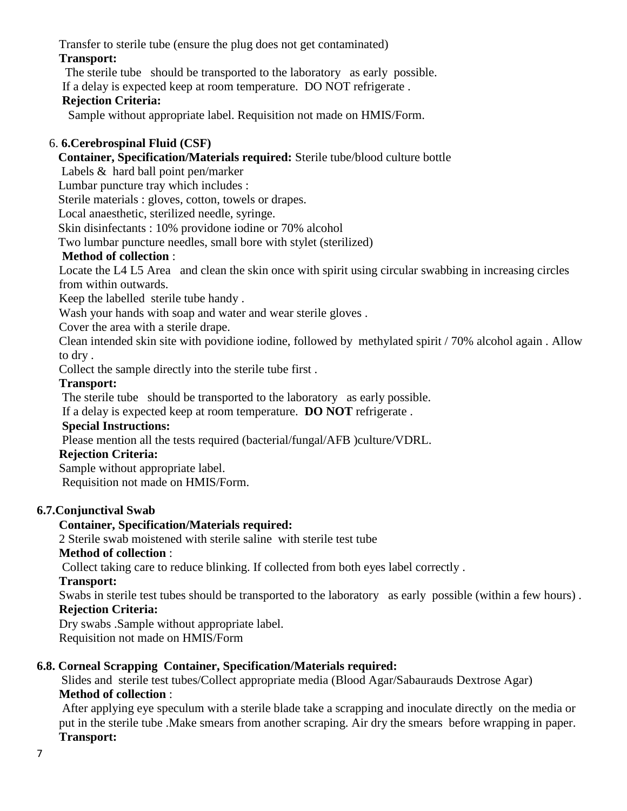Transfer to sterile tube (ensure the plug does not get contaminated) **Transport:**

The sterile tube should be transported to the laboratory as early possible.

If a delay is expected keep at room temperature. DO NOT refrigerate .

## **Rejection Criteria:**

Sample without appropriate label. Requisition not made on HMIS/Form.

## 6. **6.Cerebrospinal Fluid (CSF)**

## **Container, Specification/Materials required:** Sterile tube/blood culture bottle

Labels & hard ball point pen/marker

Lumbar puncture tray which includes :

Sterile materials : gloves, cotton, towels or drapes.

Local anaesthetic, sterilized needle, syringe.

Skin disinfectants : 10% providone iodine or 70% alcohol

Two lumbar puncture needles, small bore with stylet (sterilized)

## **Method of collection** :

Locate the L4 L5 Area and clean the skin once with spirit using circular swabbing in increasing circles from within outwards.

Keep the labelled sterile tube handy .

Wash your hands with soap and water and wear sterile gloves.

Cover the area with a sterile drape.

Clean intended skin site with povidione iodine, followed by methylated spirit / 70% alcohol again . Allow to dry .

Collect the sample directly into the sterile tube first .

## **Transport:**

The sterile tube should be transported to the laboratory as early possible.

If a delay is expected keep at room temperature. **DO NOT** refrigerate .

## **Special Instructions:**

Please mention all the tests required (bacterial/fungal/AFB )culture/VDRL.

## **Rejection Criteria:**

Sample without appropriate label.

Requisition not made on HMIS/Form.

# **6.7.Conjunctival Swab**

# **Container, Specification/Materials required:**

2 Sterile swab moistened with sterile saline with sterile test tube

## **Method of collection** :

Collect taking care to reduce blinking. If collected from both eyes label correctly .

## **Transport:**

Swabs in sterile test tubes should be transported to the laboratory as early possible (within a few hours) . **Rejection Criteria:**

Dry swabs .Sample without appropriate label.

Requisition not made on HMIS/Form

# **6.8. Corneal Scrapping Container, Specification/Materials required:**

 Slides and sterile test tubes/Collect appropriate media (Blood Agar/Sabaurauds Dextrose Agar) **Method of collection** :

After applying eye speculum with a sterile blade take a scrapping and inoculate directly on the media or put in the sterile tube .Make smears from another scraping. Air dry the smears before wrapping in paper. **Transport:**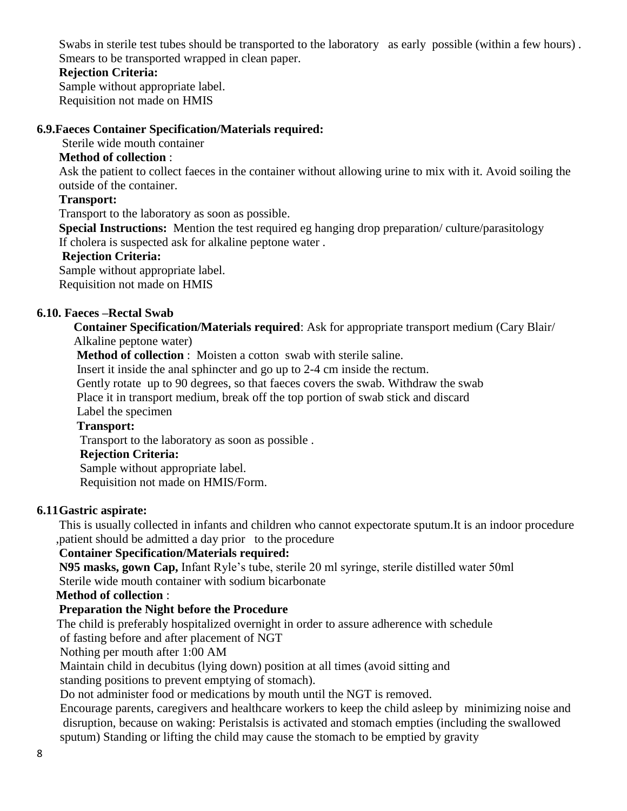Swabs in sterile test tubes should be transported to the laboratory as early possible (within a few hours) . Smears to be transported wrapped in clean paper.

## **Rejection Criteria:**

Sample without appropriate label. Requisition not made on HMIS

#### **6.9.Faeces Container Specification/Materials required:**

Sterile wide mouth container

## **Method of collection** :

Ask the patient to collect faeces in the container without allowing urine to mix with it. Avoid soiling the outside of the container.

#### **Transport:**

Transport to the laboratory as soon as possible.

**Special Instructions:** Mention the test required eg hanging drop preparation/ culture/parasitology If cholera is suspected ask for alkaline peptone water .

#### **Rejection Criteria:**

Sample without appropriate label.

Requisition not made on HMIS

#### **6.10. Faeces –Rectal Swab**

**Container Specification/Materials required**: Ask for appropriate transport medium (Cary Blair/ Alkaline peptone water)

**Method of collection** : Moisten a cotton swab with sterile saline.

Insert it inside the anal sphincter and go up to 2-4 cm inside the rectum.

Gently rotate up to 90 degrees, so that faeces covers the swab. Withdraw the swab

Place it in transport medium, break off the top portion of swab stick and discard

Label the specimen

#### **Transport:**

Transport to the laboratory as soon as possible .

#### **Rejection Criteria:**

Sample without appropriate label.

Requisition not made on HMIS/Form.

#### **6.11Gastric aspirate:**

This is usually collected in infants and children who cannot expectorate sputum.It is an indoor procedure ,patient should be admitted a day prior to the procedure

## **Container Specification/Materials required:**

**N95 masks, gown Cap,** Infant Ryle's tube, sterile 20 ml syringe, sterile distilled water 50ml Sterile wide mouth container with sodium bicarbonate

#### **Method of collection** :

## **Preparation the Night before the Procedure**

The child is preferably hospitalized overnight in order to assure adherence with schedule

of fasting before and after placement of NGT

Nothing per mouth after 1:00 AM

Maintain child in decubitus (lying down) position at all times (avoid sitting and

standing positions to prevent emptying of stomach).

Do not administer food or medications by mouth until the NGT is removed.

 Encourage parents, caregivers and healthcare workers to keep the child asleep by minimizing noise and disruption, because on waking: Peristalsis is activated and stomach empties (including the swallowed sputum) Standing or lifting the child may cause the stomach to be emptied by gravity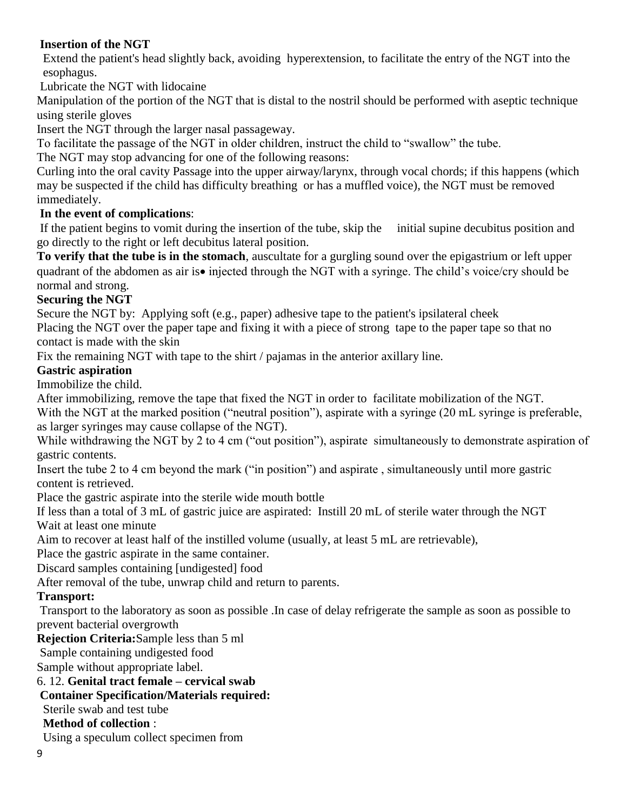# **Insertion of the NGT**

 Extend the patient's head slightly back, avoiding hyperextension, to facilitate the entry of the NGT into the esophagus.

Lubricate the NGT with lidocaine

Manipulation of the portion of the NGT that is distal to the nostril should be performed with aseptic technique using sterile gloves

Insert the NGT through the larger nasal passageway.

To facilitate the passage of the NGT in older children, instruct the child to "swallow" the tube.

The NGT may stop advancing for one of the following reasons:

Curling into the oral cavity Passage into the upper airway/larynx, through vocal chords; if this happens (which may be suspected if the child has difficulty breathing or has a muffled voice), the NGT must be removed immediately.

# **In the event of complications**:

If the patient begins to vomit during the insertion of the tube, skip the initial supine decubitus position and go directly to the right or left decubitus lateral position.

**To verify that the tube is in the stomach**, auscultate for a gurgling sound over the epigastrium or left upper quadrant of the abdomen as air is• injected through the NGT with a syringe. The child's voice/cry should be normal and strong.

# **Securing the NGT**

Secure the NGT by: Applying soft (e.g., paper) adhesive tape to the patient's ipsilateral cheek

Placing the NGT over the paper tape and fixing it with a piece of strong tape to the paper tape so that no contact is made with the skin

Fix the remaining NGT with tape to the shirt / pajamas in the anterior axillary line.

# **Gastric aspiration**

Immobilize the child.

After immobilizing, remove the tape that fixed the NGT in order to facilitate mobilization of the NGT.

With the NGT at the marked position ("neutral position"), aspirate with a syringe (20 mL syringe is preferable, as larger syringes may cause collapse of the NGT).

While withdrawing the NGT by 2 to 4 cm ("out position"), aspirate simultaneously to demonstrate aspiration of gastric contents.

Insert the tube 2 to 4 cm beyond the mark ("in position") and aspirate , simultaneously until more gastric content is retrieved.

Place the gastric aspirate into the sterile wide mouth bottle

If less than a total of 3 mL of gastric juice are aspirated: Instill 20 mL of sterile water through the NGT Wait at least one minute

Aim to recover at least half of the instilled volume (usually, at least 5 mL are retrievable),

Place the gastric aspirate in the same container.

Discard samples containing [undigested] food

After removal of the tube, unwrap child and return to parents.

# **Transport:**

Transport to the laboratory as soon as possible .In case of delay refrigerate the sample as soon as possible to prevent bacterial overgrowth

# **Rejection Criteria:**Sample less than 5 ml

Sample containing undigested food

Sample without appropriate label.

6. 12. **Genital tract female – cervical swab** 

# **Container Specification/Materials required:**

Sterile swab and test tube

# **Method of collection** :

Using a speculum collect specimen from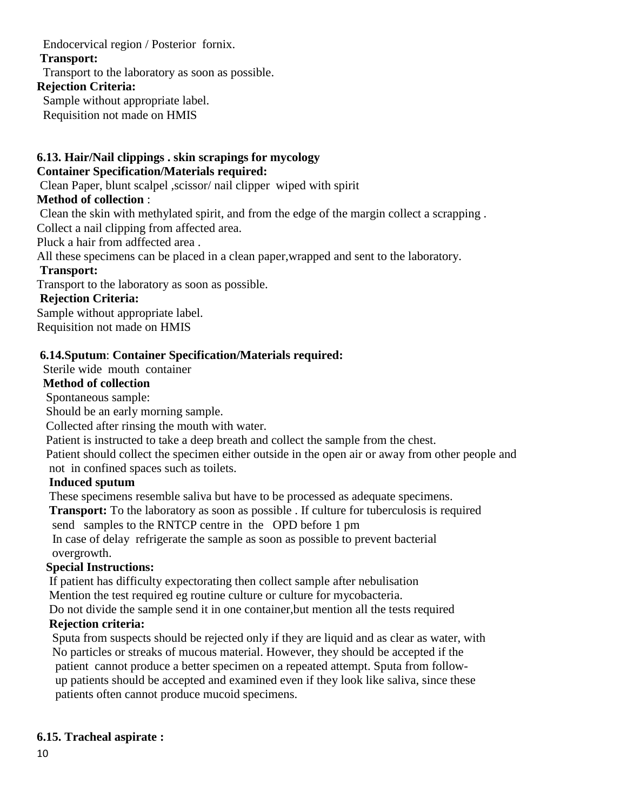## Endocervical region / Posterior fornix.

## **Transport:**

Transport to the laboratory as soon as possible.

#### **Rejection Criteria:**

Sample without appropriate label.

Requisition not made on HMIS

## **6.13. Hair/Nail clippings . skin scrapings for mycology Container Specification/Materials required:**

Clean Paper, blunt scalpel ,scissor/ nail clipper wiped with spirit

# **Method of collection** :

Clean the skin with methylated spirit, and from the edge of the margin collect a scrapping . Collect a nail clipping from affected area.

Pluck a hair from adffected area .

All these specimens can be placed in a clean paper,wrapped and sent to the laboratory.

# **Transport:**

Transport to the laboratory as soon as possible.

# **Rejection Criteria:**

Sample without appropriate label. Requisition not made on HMIS

# **6.14.Sputum**: **Container Specification/Materials required:**

# Sterile wide mouth container

# **Method of collection**

Spontaneous sample:

Should be an early morning sample.

Collected after rinsing the mouth with water.

Patient is instructed to take a deep breath and collect the sample from the chest.

 Patient should collect the specimen either outside in the open air or away from other people and not in confined spaces such as toilets.

# **Induced sputum**

These specimens resemble saliva but have to be processed as adequate specimens.

 **Transport:** To the laboratory as soon as possible . If culture for tuberculosis is required send samples to the RNTCP centre in the OPD before 1 pm In case of delay refrigerate the sample as soon as possible to prevent bacterial

#### overgrowth. **Special Instructions:**

If patient has difficulty expectorating then collect sample after nebulisation

Mention the test required eg routine culture or culture for mycobacteria.

 Do not divide the sample send it in one container,but mention all the tests required  **Rejection criteria:**

 Sputa from suspects should be rejected only if they are liquid and as clear as water, with No particles or streaks of mucous material. However, they should be accepted if the patient cannot produce a better specimen on a repeated attempt. Sputa from follow up patients should be accepted and examined even if they look like saliva, since these patients often cannot produce mucoid specimens.

# **6.15. Tracheal aspirate :**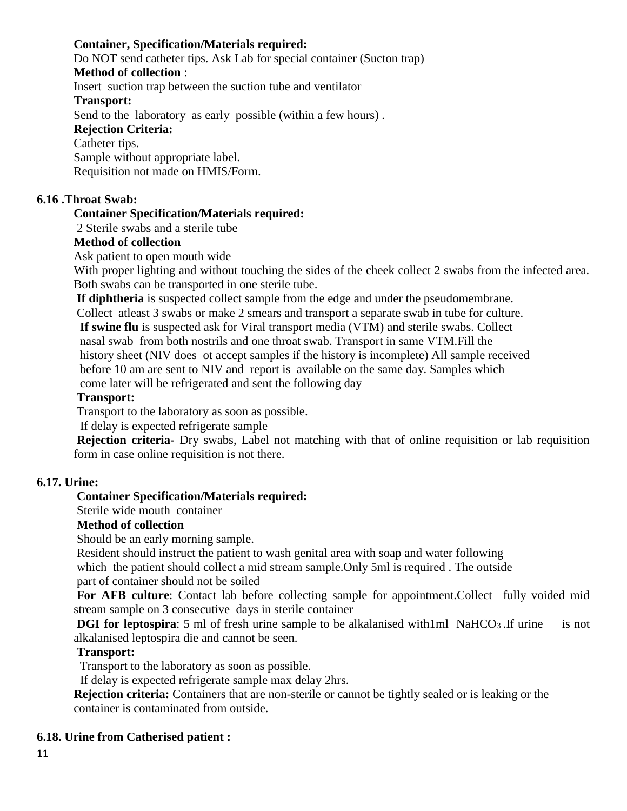## **Container, Specification/Materials required:**

Do NOT send catheter tips. Ask Lab for special container (Sucton trap)

#### **Method of collection** :

Insert suction trap between the suction tube and ventilator

#### **Transport:**

Send to the laboratory as early possible (within a few hours) .

#### **Rejection Criteria:**

#### Catheter tips.

Sample without appropriate label. Requisition not made on HMIS/Form.

## **6.16 .Throat Swab:**

## **Container Specification/Materials required:**

2 Sterile swabs and a sterile tube

## **Method of collection**

Ask patient to open mouth wide

With proper lighting and without touching the sides of the cheek collect 2 swabs from the infected area. Both swabs can be transported in one sterile tube.

**If diphtheria** is suspected collect sample from the edge and under the pseudomembrane.

Collect atleast 3 swabs or make 2 smears and transport a separate swab in tube for culture.

 **If swine flu** is suspected ask for Viral transport media (VTM) and sterile swabs. Collect nasal swab from both nostrils and one throat swab. Transport in same VTM.Fill the history sheet (NIV does ot accept samples if the history is incomplete) All sample received before 10 am are sent to NIV and report is available on the same day. Samples which come later will be refrigerated and sent the following day

## **Transport:**

Transport to the laboratory as soon as possible.

If delay is expected refrigerate sample

**Rejection criteria-** Dry swabs, Label not matching with that of online requisition or lab requisition form in case online requisition is not there.

## **6.17. Urine:**

## **Container Specification/Materials required:**

Sterile wide mouth container

## **Method of collection**

Should be an early morning sample.

Resident should instruct the patient to wash genital area with soap and water following

which the patient should collect a mid stream sample. Only 5ml is required. The outside part of container should not be soiled

For AFB culture: Contact lab before collecting sample for appointment.Collect fully voided mid stream sample on 3 consecutive days in sterile container

**DGI for leptospira**: 5 ml of fresh urine sample to be alkalanised with1ml NaHCO<sub>3</sub>. If urine is not alkalanised leptospira die and cannot be seen.

## **Transport:**

Transport to the laboratory as soon as possible.

If delay is expected refrigerate sample max delay 2hrs.

**Rejection criteria:** Containers that are non-sterile or cannot be tightly sealed or is leaking or the container is contaminated from outside.

## **6.18. Urine from Catherised patient :**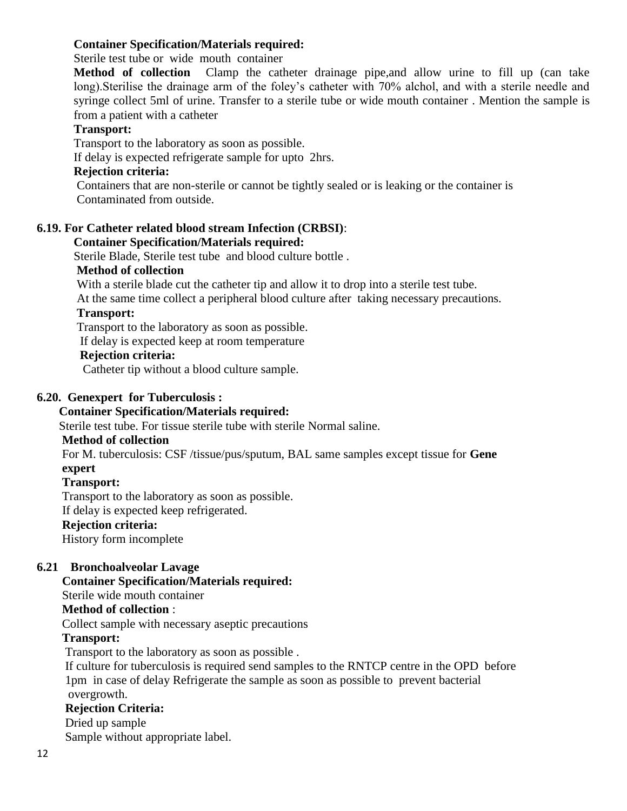## **Container Specification/Materials required:**

Sterile test tube or wide mouth container

**Method of collection** Clamp the catheter drainage pipe,and allow urine to fill up (can take long).Sterilise the drainage arm of the foley's catheter with 70% alchol, and with a sterile needle and syringe collect 5ml of urine. Transfer to a sterile tube or wide mouth container . Mention the sample is from a patient with a catheter

#### **Transport:**

Transport to the laboratory as soon as possible.

If delay is expected refrigerate sample for upto 2hrs.

#### **Rejection criteria:**

Containers that are non-sterile or cannot be tightly sealed or is leaking or the container is Contaminated from outside.

#### **6.19. For Catheter related blood stream Infection (CRBSI)**:

#### **Container Specification/Materials required:**

Sterile Blade, Sterile test tube and blood culture bottle .

#### **Method of collection**

With a sterile blade cut the catheter tip and allow it to drop into a sterile test tube.

At the same time collect a peripheral blood culture after taking necessary precautions.

## **Transport:**

Transport to the laboratory as soon as possible.

If delay is expected keep at room temperature

#### **Rejection criteria:**

Catheter tip without a blood culture sample.

#### **6.20. Genexpert for Tuberculosis :**

#### **Container Specification/Materials required:**

Sterile test tube. For tissue sterile tube with sterile Normal saline.

#### **Method of collection**

For M. tuberculosis: CSF /tissue/pus/sputum, BAL same samples except tissue for **Gene expert** 

#### **Transport:**

Transport to the laboratory as soon as possible.

If delay is expected keep refrigerated.

#### **Rejection criteria:**

History form incomplete

#### **6.21 Bronchoalveolar Lavage**

#### **Container Specification/Materials required:**

Sterile wide mouth container

#### **Method of collection** :

Collect sample with necessary aseptic precautions

#### **Transport:**

Transport to the laboratory as soon as possible .

 If culture for tuberculosis is required send samples to the RNTCP centre in the OPD before 1pm in case of delay Refrigerate the sample as soon as possible to prevent bacterial overgrowth.

#### **Rejection Criteria:**

#### Dried up sample

Sample without appropriate label.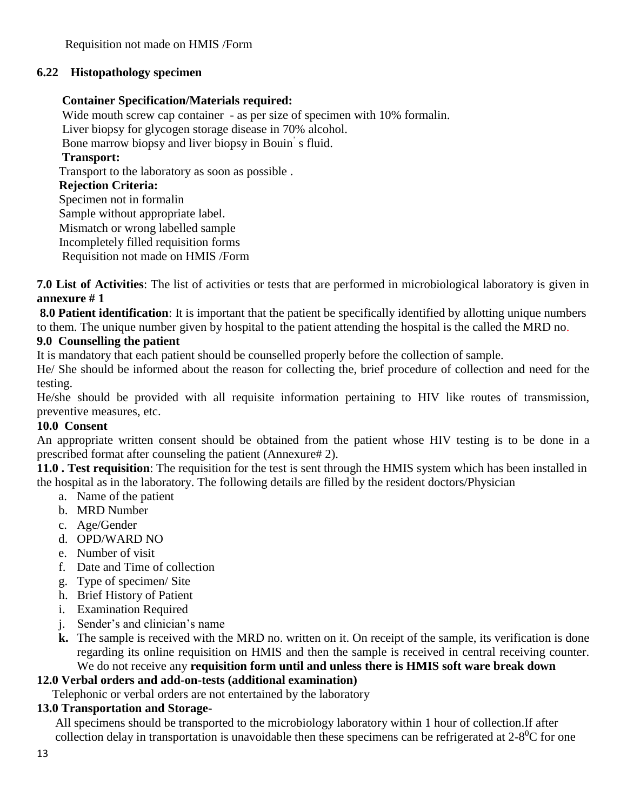# **6.22 Histopathology specimen**

## **Container Specification/Materials required:**

Wide mouth screw cap container - as per size of specimen with 10% formalin. Liver biopsy for glycogen storage disease in 70% alcohol. Bone marrow biopsy and liver biopsy in Bouin' s fluid. **Transport:** Transport to the laboratory as soon as possible . **Rejection Criteria:** Specimen not in formalin Sample without appropriate label. Mismatch or wrong labelled sample Incompletely filled requisition forms Requisition not made on HMIS /Form

**7.0 List of Activities**: The list of activities or tests that are performed in microbiological laboratory is given in **annexure # 1**

**8.0 Patient identification**: It is important that the patient be specifically identified by allotting unique numbers to them. The unique number given by hospital to the patient attending the hospital is the called the MRD no.

# **9.0 Counselling the patient**

It is mandatory that each patient should be counselled properly before the collection of sample.

He/ She should be informed about the reason for collecting the, brief procedure of collection and need for the testing.

He/she should be provided with all requisite information pertaining to HIV like routes of transmission, preventive measures, etc.

# **10.0 Consent**

An appropriate written consent should be obtained from the patient whose HIV testing is to be done in a prescribed format after counseling the patient (Annexure# 2).

**11.0 . Test requisition**: The requisition for the test is sent through the HMIS system which has been installed in the hospital as in the laboratory. The following details are filled by the resident doctors/Physician

- a. Name of the patient
- b. MRD Number
- c. Age/Gender
- d. OPD/WARD NO
- e. Number of visit
- f. Date and Time of collection
- g. Type of specimen/ Site
- h. Brief History of Patient
- i. Examination Required
- j. Sender's and clinician's name
- **k.** The sample is received with the MRD no. written on it. On receipt of the sample, its verification is done regarding its online requisition on HMIS and then the sample is received in central receiving counter. We do not receive any **requisition form until and unless there is HMIS soft ware break down**

# **12.0 Verbal orders and add-on-tests (additional examination)**

Telephonic or verbal orders are not entertained by the laboratory

# **13.0 Transportation and Storage-**

All specimens should be transported to the microbiology laboratory within 1 hour of collection.If after collection delay in transportation is unavoidable then these specimens can be refrigerated at  $2-8$ <sup>0</sup>C for one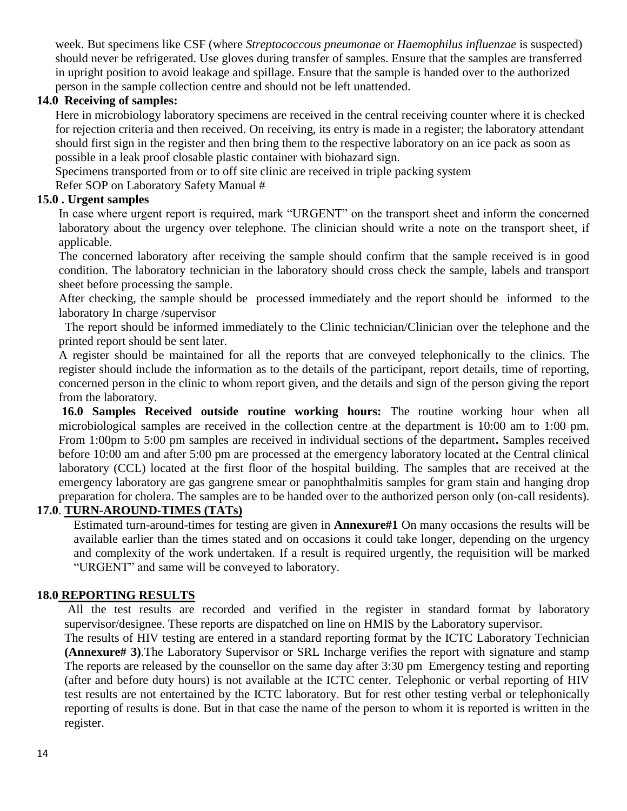week. But specimens like CSF (where *Streptococcous pneumonae* or *Haemophilus influenzae* is suspected) should never be refrigerated. Use gloves during transfer of samples. Ensure that the samples are transferred in upright position to avoid leakage and spillage. Ensure that the sample is handed over to the authorized person in the sample collection centre and should not be left unattended.

## **14.0 Receiving of samples:**

Here in microbiology laboratory specimens are received in the central receiving counter where it is checked for rejection criteria and then received. On receiving, its entry is made in a register; the laboratory attendant should first sign in the register and then bring them to the respective laboratory on an ice pack as soon as possible in a leak proof closable plastic container with biohazard sign.

Specimens transported from or to off site clinic are received in triple packing system

Refer SOP on Laboratory Safety Manual #

## **15.0 . Urgent samples**

In case where urgent report is required, mark "URGENT" on the transport sheet and inform the concerned laboratory about the urgency over telephone. The clinician should write a note on the transport sheet, if applicable.

The concerned laboratory after receiving the sample should confirm that the sample received is in good condition. The laboratory technician in the laboratory should cross check the sample, labels and transport sheet before processing the sample.

After checking, the sample should be processed immediately and the report should be informed to the laboratory In charge /supervisor

 The report should be informed immediately to the Clinic technician/Clinician over the telephone and the printed report should be sent later.

A register should be maintained for all the reports that are conveyed telephonically to the clinics. The register should include the information as to the details of the participant, report details, time of reporting, concerned person in the clinic to whom report given, and the details and sign of the person giving the report from the laboratory.

**16.0 Samples Received outside routine working hours:** The routine working hour when all microbiological samples are received in the collection centre at the department is 10:00 am to 1:00 pm. From 1:00pm to 5:00 pm samples are received in individual sections of the department**.** Samples received before 10:00 am and after 5:00 pm are processed at the emergency laboratory located at the Central clinical laboratory (CCL) located at the first floor of the hospital building. The samples that are received at the emergency laboratory are gas gangrene smear or panophthalmitis samples for gram stain and hanging drop preparation for cholera. The samples are to be handed over to the authorized person only (on-call residents).

# **17.0**. **TURN-AROUND-TIMES (TATs)**

Estimated turn-around-times for testing are given in **Annexure#1** On many occasions the results will be available earlier than the times stated and on occasions it could take longer, depending on the urgency and complexity of the work undertaken. If a result is required urgently, the requisition will be marked "URGENT" and same will be conveyed to laboratory.

## **18.0 REPORTING RESULTS**

All the test results are recorded and verified in the register in standard format by laboratory supervisor/designee. These reports are dispatched on line on HMIS by the Laboratory supervisor.

The results of HIV testing are entered in a standard reporting format by the ICTC Laboratory Technician **(Annexure# 3)**.The Laboratory Supervisor or SRL Incharge verifies the report with signature and stamp The reports are released by the counsellor on the same day after 3:30 pm Emergency testing and reporting (after and before duty hours) is not available at the ICTC center. Telephonic or verbal reporting of HIV test results are not entertained by the ICTC laboratory. But for rest other testing verbal or telephonically reporting of results is done. But in that case the name of the person to whom it is reported is written in the register.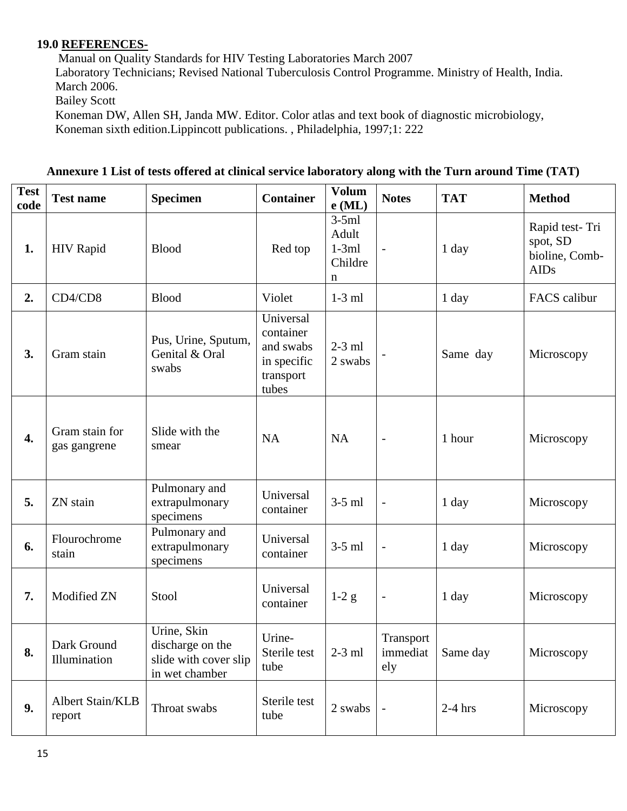#### **19.0 REFERENCES-**

Manual on Quality Standards for HIV Testing Laboratories March 2007 Laboratory Technicians; Revised National Tuberculosis Control Programme. Ministry of Health, India. March 2006. Bailey Scott

Koneman DW, Allen SH, Janda MW. Editor. Color atlas and text book of diagnostic microbiology, Koneman sixth edition.Lippincott publications. , Philadelphia, 1997;1: 222

| <b>Test</b><br>code | <b>Test name</b>               | <b>Specimen</b>                                                            | <b>Container</b>                                                         | Volum<br>$e$ (ML)                           | <b>Notes</b>                 | <b>TAT</b> | <b>Method</b>                                               |
|---------------------|--------------------------------|----------------------------------------------------------------------------|--------------------------------------------------------------------------|---------------------------------------------|------------------------------|------------|-------------------------------------------------------------|
| 1.                  | <b>HIV Rapid</b>               | <b>Blood</b>                                                               | Red top                                                                  | $3-5ml$<br>Adult<br>$1-3ml$<br>Childre<br>n | $\overline{\phantom{a}}$     | 1 day      | Rapid test-Tri<br>spot, SD<br>bioline, Comb-<br><b>AIDs</b> |
| 2.                  | CD4/CD8                        | <b>Blood</b>                                                               | Violet                                                                   | $1-3$ ml                                    |                              | 1 day      | FACS calibur                                                |
| 3.                  | Gram stain                     | Pus, Urine, Sputum,<br>Genital & Oral<br>swabs                             | Universal<br>container<br>and swabs<br>in specific<br>transport<br>tubes | $2-3$ ml<br>2 swabs                         |                              | Same day   | Microscopy                                                  |
| 4.                  | Gram stain for<br>gas gangrene | Slide with the<br>smear                                                    | <b>NA</b>                                                                | <b>NA</b>                                   | $\overline{\phantom{a}}$     | 1 hour     | Microscopy                                                  |
| 5.                  | ZN stain                       | Pulmonary and<br>extrapulmonary<br>specimens                               | Universal<br>container                                                   | $3-5$ ml                                    | $\overline{\phantom{a}}$     | 1 day      | Microscopy                                                  |
| 6.                  | Flourochrome<br>stain          | Pulmonary and<br>extrapulmonary<br>specimens                               | Universal<br>container                                                   | $3-5$ ml                                    | $\qquad \qquad -$            | 1 day      | Microscopy                                                  |
| 7.                  | Modified ZN                    | Stool                                                                      | Universal<br>container                                                   | $1-2g$                                      | $\overline{\phantom{a}}$     | 1 day      | Microscopy                                                  |
| 8.                  | Dark Ground<br>Illumination    | Urine, Skin<br>discharge on the<br>slide with cover slip<br>in wet chamber | Urine-<br>Sterile test<br>tube                                           | $2-3$ ml                                    | Transport<br>immediat<br>ely | Same day   | Microscopy                                                  |
| 9.                  | Albert Stain/KLB<br>report     | Throat swabs                                                               | Sterile test<br>tube                                                     | 2 swabs                                     | $\overline{\phantom{a}}$     | $2-4$ hrs  | Microscopy                                                  |

**Annexure 1 List of tests offered at clinical service laboratory along with the Turn around Time (TAT)**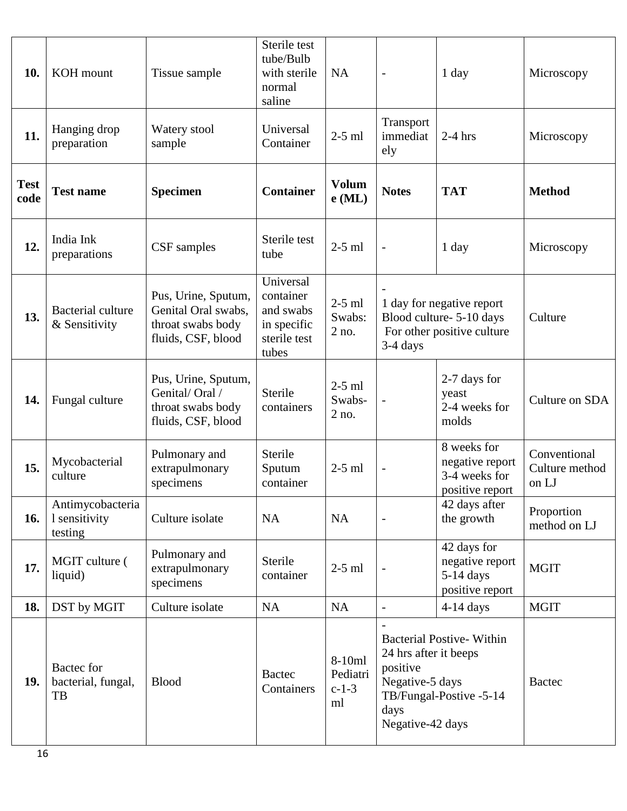| 10.                 | KOH mount                                    | Tissue sample                                                                         | Sterile test<br>tube/Bulb<br>with sterile<br>normal<br>saline               | NA                                  | $\overline{\phantom{0}}$                                                                                                                       | 1 day                                                              | Microscopy                              |
|---------------------|----------------------------------------------|---------------------------------------------------------------------------------------|-----------------------------------------------------------------------------|-------------------------------------|------------------------------------------------------------------------------------------------------------------------------------------------|--------------------------------------------------------------------|-----------------------------------------|
| 11.                 | Hanging drop<br>preparation                  | Watery stool<br>sample                                                                | Universal<br>Container                                                      | $2-5$ ml                            | Transport<br>immediat<br>ely                                                                                                                   | $2-4$ hrs                                                          | Microscopy                              |
| <b>Test</b><br>code | <b>Test name</b>                             | <b>Specimen</b>                                                                       | <b>Container</b>                                                            | <b>Volum</b><br>$e$ (ML)            | <b>Notes</b>                                                                                                                                   | <b>TAT</b>                                                         | <b>Method</b>                           |
| 12.                 | India Ink<br>preparations                    | CSF samples                                                                           | Sterile test<br>tube                                                        | $2-5$ ml                            | $\overline{\phantom{m}}$                                                                                                                       | $1$ day                                                            | Microscopy                              |
| 13.                 | <b>Bacterial culture</b><br>& Sensitivity    | Pus, Urine, Sputum,<br>Genital Oral swabs,<br>throat swabs body<br>fluids, CSF, blood | Universal<br>container<br>and swabs<br>in specific<br>sterile test<br>tubes | $2-5$ ml<br>Swabs:<br>2 no.         | 1 day for negative report<br>Blood culture-5-10 days<br>For other positive culture<br>3-4 days                                                 |                                                                    | Culture                                 |
| 14.                 | Fungal culture                               | Pus, Urine, Sputum,<br>Genital/Oral /<br>throat swabs body<br>fluids, CSF, blood      | Sterile<br>containers                                                       | $2-5$ ml<br>Swabs-<br>$2$ no.       | $\overline{\phantom{a}}$                                                                                                                       | 2-7 days for<br>yeast<br>2-4 weeks for<br>molds                    | Culture on SDA                          |
| 15.                 | Mycobacterial<br>culture                     | Pulmonary and<br>extrapulmonary<br>specimens                                          | Sterile<br>Sputum<br>container                                              | $2-5$ ml                            | $\overline{\phantom{0}}$                                                                                                                       | 8 weeks for<br>negative report<br>3-4 weeks for<br>positive report | Conventional<br>Culture method<br>on LJ |
| 16.                 | Antimycobacteria<br>1 sensitivity<br>testing | Culture isolate                                                                       | <b>NA</b>                                                                   | <b>NA</b>                           | $\overline{\phantom{a}}$                                                                                                                       | 42 days after<br>the growth                                        | Proportion<br>method on LJ              |
| 17.                 | MGIT culture (<br>liquid)                    | Pulmonary and<br>extrapulmonary<br>specimens                                          | Sterile<br>container                                                        | $2-5$ ml                            |                                                                                                                                                | 42 days for<br>negative report<br>$5-14$ days<br>positive report   | <b>MGIT</b>                             |
| 18.                 | DST by MGIT                                  | Culture isolate                                                                       | <b>NA</b>                                                                   | <b>NA</b>                           | $\overline{\phantom{a}}$                                                                                                                       | $4-14$ days                                                        | <b>MGIT</b>                             |
| 19.                 | Bactec for<br>bacterial, fungal,<br>TB       | <b>Blood</b>                                                                          | <b>Bactec</b><br>Containers                                                 | 8-10ml<br>Pediatri<br>$c-1-3$<br>ml | <b>Bacterial Postive-Within</b><br>24 hrs after it beeps<br>positive<br>Negative-5 days<br>TB/Fungal-Postive -5-14<br>days<br>Negative-42 days |                                                                    | <b>Bactec</b>                           |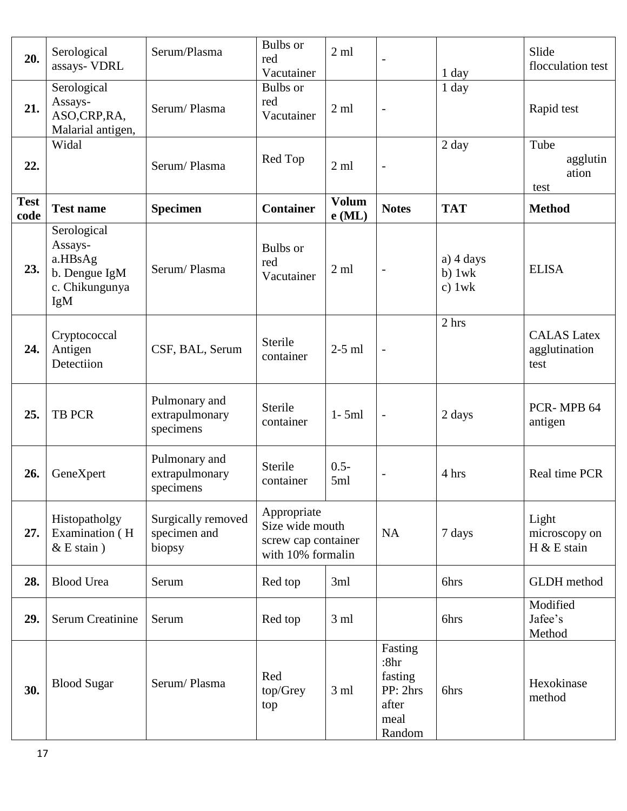| 20.                 | Serological<br>assays- VDRL                                                 | Serum/Plasma                                 | <b>Bulbs</b> or<br>red<br>Vacutainer                                       | 2ml                      |                                                                   | $1$ day                             | Slide<br>flocculation test                  |
|---------------------|-----------------------------------------------------------------------------|----------------------------------------------|----------------------------------------------------------------------------|--------------------------|-------------------------------------------------------------------|-------------------------------------|---------------------------------------------|
| 21.                 | Serological<br>Assays-<br>ASO,CRP,RA,<br>Malarial antigen,                  | Serum/Plasma                                 | <b>Bulbs</b> or<br>red<br>Vacutainer                                       | $2 \text{ ml}$           | $\overline{a}$                                                    | 1 day                               | Rapid test                                  |
| 22.                 | Widal                                                                       | Serum/Plasma                                 | Red Top                                                                    | $2 \text{ ml}$           | $\overline{a}$                                                    | 2 day                               | Tube<br>agglutin<br>ation<br>test           |
| <b>Test</b><br>code | <b>Test name</b>                                                            | <b>Specimen</b>                              | <b>Container</b>                                                           | <b>Volum</b><br>$e$ (ML) | <b>Notes</b>                                                      | <b>TAT</b>                          | <b>Method</b>                               |
| 23.                 | Serological<br>Assays-<br>a.HBsAg<br>b. Dengue IgM<br>c. Chikungunya<br>IgM | Serum/Plasma                                 | <b>Bulbs</b> or<br>red<br>Vacutainer                                       | $2 \text{ ml}$           | $\overline{\phantom{0}}$                                          | $a)$ 4 days<br>$b)$ 1wk<br>c) $1wk$ | <b>ELISA</b>                                |
| 24.                 | Cryptococcal<br>Antigen<br>Detectiion                                       | CSF, BAL, Serum                              | Sterile<br>container                                                       | $2-5$ ml                 | $\overline{a}$                                                    | 2 hrs                               | <b>CALAS</b> Latex<br>agglutination<br>test |
| 25.                 | <b>TB PCR</b>                                                               | Pulmonary and<br>extrapulmonary<br>specimens | Sterile<br>container                                                       | $1 - 5ml$                | $\overline{a}$                                                    | 2 days                              | PCR-MPB 64<br>antigen                       |
| 26.                 | GeneXpert                                                                   | Pulmonary and<br>extrapulmonary<br>specimens | Sterile<br>container                                                       | $0.5 -$<br>5ml           |                                                                   | 4 hrs                               | Real time PCR                               |
| 27.                 | Histopatholgy<br>Examination (H<br>$& E$ stain $)$                          | Surgically removed<br>specimen and<br>biopsy | Appropriate<br>Size wide mouth<br>screw cap container<br>with 10% formalin |                          | NA                                                                | 7 days                              | Light<br>microscopy on<br>$H & E$ stain     |
| 28.                 | <b>Blood Urea</b>                                                           | Serum                                        | Red top                                                                    | 3ml                      |                                                                   | 6hrs                                | <b>GLDH</b> method                          |
| 29.                 | <b>Serum Creatinine</b>                                                     | Serum                                        | Red top                                                                    | $3 \text{ ml}$           |                                                                   | 6hrs                                | Modified<br>Jafee's<br>Method               |
| 30.                 | <b>Blood Sugar</b>                                                          | Serum/Plasma                                 | Red<br>top/Grey<br>top                                                     | 3 <sub>ml</sub>          | Fasting<br>:8hr<br>fasting<br>PP: 2hrs<br>after<br>meal<br>Random | 6hrs                                | Hexokinase<br>method                        |